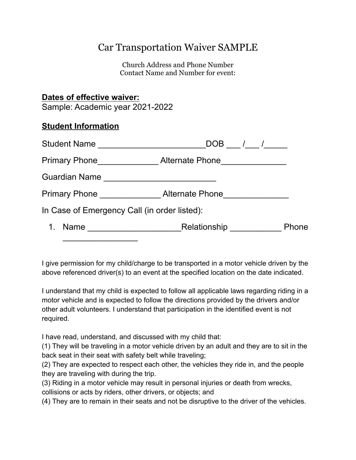## Car Transportation Waiver SAMPLE

Church Address and Phone Number Contact Name and Number for event:

## **Dates of effective waiver:**

Sample: Academic year 2021-2022

## **Student Information**

| Student Name                                 | DOB / /                                                                                                                               |       |
|----------------------------------------------|---------------------------------------------------------------------------------------------------------------------------------------|-------|
| <b>Primary Phone</b>                         | Alternate Phone                                                                                                                       |       |
| <b>Guardian Name</b>                         | <u> 1980 - Jan Barbara, manazarta bashkar a shekara t</u>                                                                             |       |
|                                              | Primary Phone Alternate Phone                                                                                                         |       |
| In Case of Emergency Call (in order listed): |                                                                                                                                       |       |
| Name                                         | Relationship<br><u> 1989 - John Harry Harry Harry Harry Harry Harry Harry Harry Harry Harry Harry Harry Harry Harry Harry Harry H</u> | Phone |
|                                              |                                                                                                                                       |       |

I give permission for my child/charge to be transported in a motor vehicle driven by the above referenced driver(s) to an event at the specified location on the date indicated.

I understand that my child is expected to follow all applicable laws regarding riding in a motor vehicle and is expected to follow the directions provided by the drivers and/or other adult volunteers. I understand that participation in the identified event is not required.

I have read, understand, and discussed with my child that:

(1) They will be traveling in a motor vehicle driven by an adult and they are to sit in the back seat in their seat with safety belt while traveling;

(2) They are expected to respect each other, the vehicles they ride in, and the people they are traveling with during the trip.

(3) Riding in a motor vehicle may result in personal injuries or death from wrecks, collisions or acts by riders, other drivers, or objects; and

(4) They are to remain in their seats and not be disruptive to the driver of the vehicles.